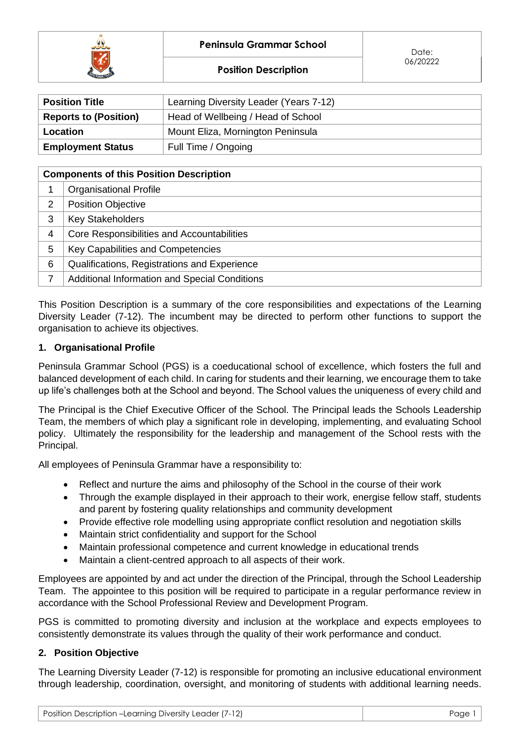



| <b>Position Title</b>                         | Learning Diversity Leader (Years 7-12) |  |  |
|-----------------------------------------------|----------------------------------------|--|--|
| <b>Reports to (Position)</b>                  | Head of Wellbeing / Head of School     |  |  |
| Mount Eliza, Mornington Peninsula<br>Location |                                        |  |  |
| <b>Employment Status</b>                      | Full Time / Ongoing                    |  |  |

| <b>Components of this Position Description</b> |                                                      |  |  |  |
|------------------------------------------------|------------------------------------------------------|--|--|--|
|                                                | <b>Organisational Profile</b>                        |  |  |  |
| $\overline{2}$                                 | <b>Position Objective</b>                            |  |  |  |
| 3                                              | <b>Key Stakeholders</b>                              |  |  |  |
| 4                                              | Core Responsibilities and Accountabilities           |  |  |  |
| 5                                              | Key Capabilities and Competencies                    |  |  |  |
| 6                                              | Qualifications, Registrations and Experience         |  |  |  |
|                                                | <b>Additional Information and Special Conditions</b> |  |  |  |

This Position Description is a summary of the core responsibilities and expectations of the Learning Diversity Leader (7-12). The incumbent may be directed to perform other functions to support the organisation to achieve its objectives.

## **1. Organisational Profile**

Peninsula Grammar School (PGS) is a coeducational school of excellence, which fosters the full and balanced development of each child. In caring for students and their learning, we encourage them to take up life's challenges both at the School and beyond. The School values the uniqueness of every child and

The Principal is the Chief Executive Officer of the School. The Principal leads the Schools Leadership Team, the members of which play a significant role in developing, implementing, and evaluating School policy. Ultimately the responsibility for the leadership and management of the School rests with the Principal.

All employees of Peninsula Grammar have a responsibility to:

- Reflect and nurture the aims and philosophy of the School in the course of their work
- Through the example displayed in their approach to their work, energise fellow staff, students and parent by fostering quality relationships and community development
- Provide effective role modelling using appropriate conflict resolution and negotiation skills
- Maintain strict confidentiality and support for the School
- Maintain professional competence and current knowledge in educational trends
- Maintain a client-centred approach to all aspects of their work.

Employees are appointed by and act under the direction of the Principal, through the School Leadership Team. The appointee to this position will be required to participate in a regular performance review in accordance with the School Professional Review and Development Program.

PGS is committed to promoting diversity and inclusion at the workplace and expects employees to consistently demonstrate its values through the quality of their work performance and conduct.

#### **2. Position Objective**

The Learning Diversity Leader (7-12) is responsible for promoting an inclusive educational environment through leadership, coordination, oversight, and monitoring of students with additional learning needs.

| Position Description -Learning Diversity Leader (7-12) | Page 1 |
|--------------------------------------------------------|--------|
|--------------------------------------------------------|--------|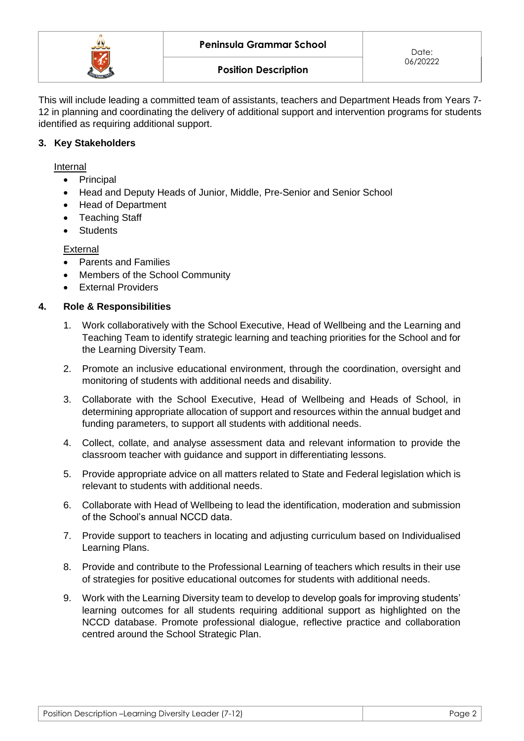

This will include leading a committed team of assistants, teachers and Department Heads from Years 7- 12 in planning and coordinating the delivery of additional support and intervention programs for students identified as requiring additional support.

## **3. Key Stakeholders**

Internal

- Principal
- Head and Deputy Heads of Junior, Middle, Pre-Senior and Senior School
- Head of Department
- Teaching Staff
- Students

**External** 

- Parents and Families
- Members of the School Community
- External Providers

#### **4. Role & Responsibilities**

- 1. Work collaboratively with the School Executive, Head of Wellbeing and the Learning and Teaching Team to identify strategic learning and teaching priorities for the School and for the Learning Diversity Team.
- 2. Promote an inclusive educational environment, through the coordination, oversight and monitoring of students with additional needs and disability.
- 3. Collaborate with the School Executive, Head of Wellbeing and Heads of School, in determining appropriate allocation of support and resources within the annual budget and funding parameters, to support all students with additional needs.
- 4. Collect, collate, and analyse assessment data and relevant information to provide the classroom teacher with guidance and support in differentiating lessons.
- 5. Provide appropriate advice on all matters related to State and Federal legislation which is relevant to students with additional needs.
- 6. Collaborate with Head of Wellbeing to lead the identification, moderation and submission of the School's annual NCCD data.
- 7. Provide support to teachers in locating and adjusting curriculum based on Individualised Learning Plans.
- 8. Provide and contribute to the Professional Learning of teachers which results in their use of strategies for positive educational outcomes for students with additional needs.
- 9. Work with the Learning Diversity team to develop to develop goals for improving students' learning outcomes for all students requiring additional support as highlighted on the NCCD database. Promote professional dialogue, reflective practice and collaboration centred around the School Strategic Plan.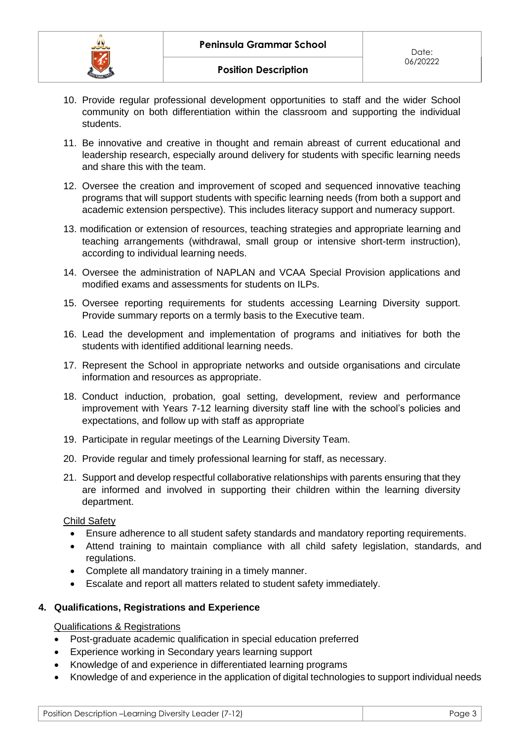- 10. Provide regular professional development opportunities to staff and the wider School community on both differentiation within the classroom and supporting the individual students.
- 11. Be innovative and creative in thought and remain abreast of current educational and leadership research, especially around delivery for students with specific learning needs and share this with the team.
- 12. Oversee the creation and improvement of scoped and sequenced innovative teaching programs that will support students with specific learning needs (from both a support and academic extension perspective). This includes literacy support and numeracy support.
- 13. modification or extension of resources, teaching strategies and appropriate learning and teaching arrangements (withdrawal, small group or intensive short-term instruction), according to individual learning needs.
- 14. Oversee the administration of NAPLAN and VCAA Special Provision applications and modified exams and assessments for students on ILPs.
- 15. Oversee reporting requirements for students accessing Learning Diversity support. Provide summary reports on a termly basis to the Executive team.
- 16. Lead the development and implementation of programs and initiatives for both the students with identified additional learning needs.
- 17. Represent the School in appropriate networks and outside organisations and circulate information and resources as appropriate.
- 18. Conduct induction, probation, goal setting, development, review and performance improvement with Years 7-12 learning diversity staff line with the school's policies and expectations, and follow up with staff as appropriate
- 19. Participate in regular meetings of the Learning Diversity Team.
- 20. Provide regular and timely professional learning for staff, as necessary.
- 21. Support and develop respectful collaborative relationships with parents ensuring that they are informed and involved in supporting their children within the learning diversity department.

## Child Safety

- Ensure adherence to all student safety standards and mandatory reporting requirements.
- Attend training to maintain compliance with all child safety legislation, standards, and regulations.
- Complete all mandatory training in a timely manner.
- Escalate and report all matters related to student safety immediately.

## **4. Qualifications, Registrations and Experience**

#### Qualifications & Registrations

- Post-graduate academic qualification in special education preferred
- Experience working in Secondary years learning support
- Knowledge of and experience in differentiated learning programs
- Knowledge of and experience in the application of digital technologies to support individual needs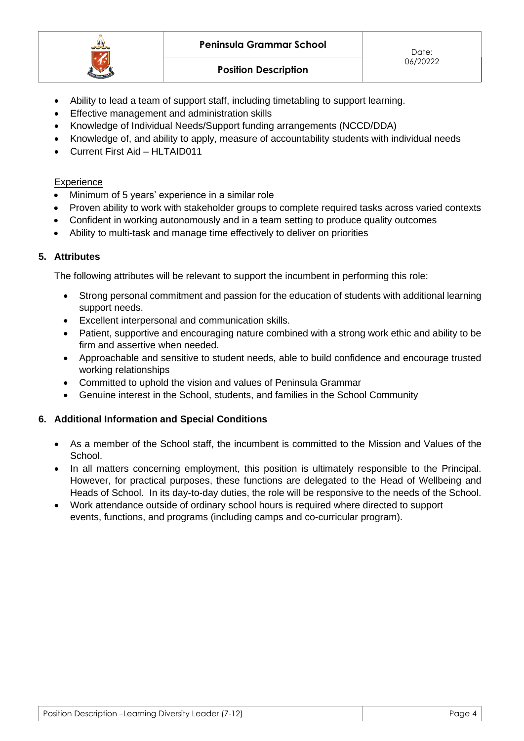

**Position Description**

Date: 06/20222

- Ability to lead a team of support staff, including timetabling to support learning.
- Effective management and administration skills
- Knowledge of Individual Needs/Support funding arrangements (NCCD/DDA)
- Knowledge of, and ability to apply, measure of accountability students with individual needs
- Current First Aid HLTAID011

# **Experience**

- Minimum of 5 years' experience in a similar role
- Proven ability to work with stakeholder groups to complete required tasks across varied contexts
- Confident in working autonomously and in a team setting to produce quality outcomes
- Ability to multi-task and manage time effectively to deliver on priorities

# **5. Attributes**

The following attributes will be relevant to support the incumbent in performing this role:

- Strong personal commitment and passion for the education of students with additional learning support needs.
- Excellent interpersonal and communication skills.
- Patient, supportive and encouraging nature combined with a strong work ethic and ability to be firm and assertive when needed.
- Approachable and sensitive to student needs, able to build confidence and encourage trusted working relationships
- Committed to uphold the vision and values of Peninsula Grammar
- Genuine interest in the School, students, and families in the School Community

## **6. Additional Information and Special Conditions**

- As a member of the School staff, the incumbent is committed to the Mission and Values of the School.
- In all matters concerning employment, this position is ultimately responsible to the Principal. However, for practical purposes, these functions are delegated to the Head of Wellbeing and Heads of School. In its day-to-day duties, the role will be responsive to the needs of the School.
- Work attendance outside of ordinary school hours is required where directed to support events, functions, and programs (including camps and co-curricular program).